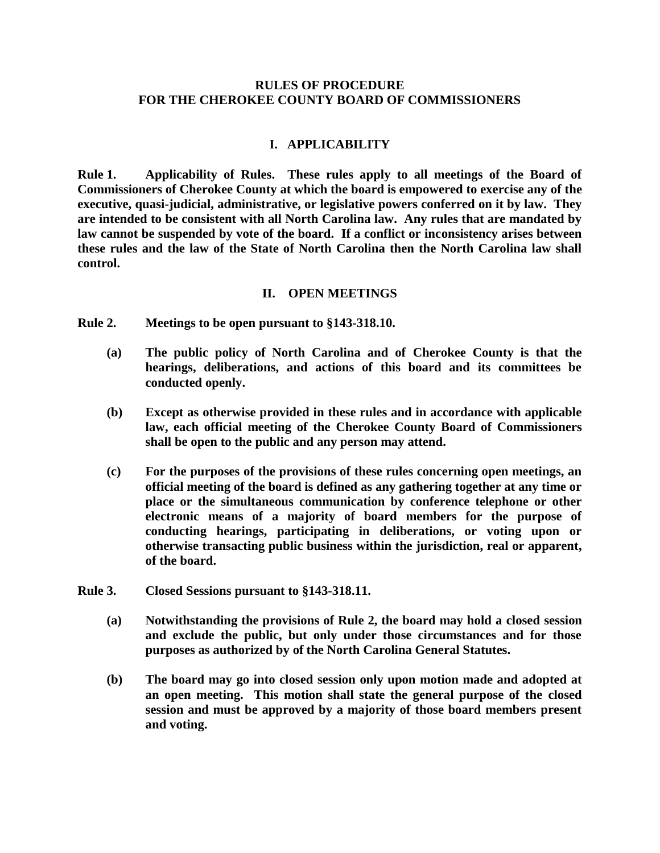#### **RULES OF PROCEDURE FOR THE CHEROKEE COUNTY BOARD OF COMMISSIONERS**

#### **I. APPLICABILITY**

**Rule 1. Applicability of Rules. These rules apply to all meetings of the Board of Commissioners of Cherokee County at which the board is empowered to exercise any of the executive, quasi-judicial, administrative, or legislative powers conferred on it by law. They are intended to be consistent with all North Carolina law. Any rules that are mandated by law cannot be suspended by vote of the board. If a conflict or inconsistency arises between these rules and the law of the State of North Carolina then the North Carolina law shall control.**

#### **II. OPEN MEETINGS**

**Rule 2. Meetings to be open pursuant to §143-318.10.** 

- **(a) The public policy of North Carolina and of Cherokee County is that the hearings, deliberations, and actions of this board and its committees be conducted openly.**
- **(b) Except as otherwise provided in these rules and in accordance with applicable law, each official meeting of the Cherokee County Board of Commissioners shall be open to the public and any person may attend.**
- **(c) For the purposes of the provisions of these rules concerning open meetings, an official meeting of the board is defined as any gathering together at any time or place or the simultaneous communication by conference telephone or other electronic means of a majority of board members for the purpose of conducting hearings, participating in deliberations, or voting upon or otherwise transacting public business within the jurisdiction, real or apparent, of the board.**
- **Rule 3. Closed Sessions pursuant to §143-318.11.**
	- **(a) Notwithstanding the provisions of Rule 2, the board may hold a closed session and exclude the public, but only under those circumstances and for those purposes as authorized by of the North Carolina General Statutes.**
	- **(b) The board may go into closed session only upon motion made and adopted at an open meeting. This motion shall state the general purpose of the closed session and must be approved by a majority of those board members present and voting.**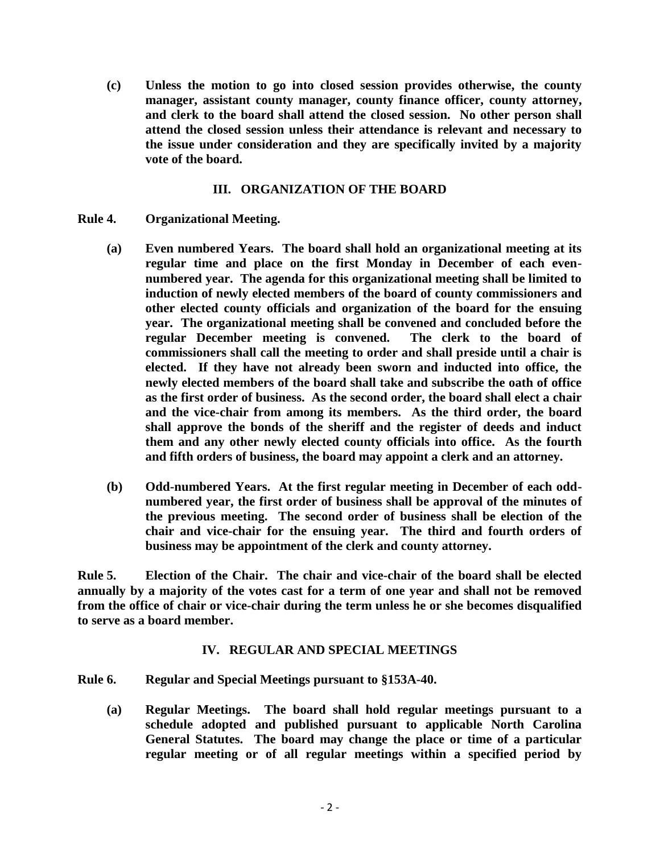**(c) Unless the motion to go into closed session provides otherwise, the county manager, assistant county manager, county finance officer, county attorney, and clerk to the board shall attend the closed session. No other person shall attend the closed session unless their attendance is relevant and necessary to the issue under consideration and they are specifically invited by a majority vote of the board.**

# **III. ORGANIZATION OF THE BOARD**

- **Rule 4. Organizational Meeting.**
	- **(a) Even numbered Years. The board shall hold an organizational meeting at its regular time and place on the first Monday in December of each evennumbered year. The agenda for this organizational meeting shall be limited to induction of newly elected members of the board of county commissioners and other elected county officials and organization of the board for the ensuing year. The organizational meeting shall be convened and concluded before the regular December meeting is convened. The clerk to the board of commissioners shall call the meeting to order and shall preside until a chair is elected. If they have not already been sworn and inducted into office, the newly elected members of the board shall take and subscribe the oath of office as the first order of business. As the second order, the board shall elect a chair and the vice-chair from among its members. As the third order, the board shall approve the bonds of the sheriff and the register of deeds and induct them and any other newly elected county officials into office. As the fourth and fifth orders of business, the board may appoint a clerk and an attorney.**
	- **(b) Odd-numbered Years. At the first regular meeting in December of each oddnumbered year, the first order of business shall be approval of the minutes of the previous meeting. The second order of business shall be election of the chair and vice-chair for the ensuing year. The third and fourth orders of business may be appointment of the clerk and county attorney.**

**Rule 5. Election of the Chair. The chair and vice-chair of the board shall be elected annually by a majority of the votes cast for a term of one year and shall not be removed from the office of chair or vice-chair during the term unless he or she becomes disqualified to serve as a board member.** 

## **IV. REGULAR AND SPECIAL MEETINGS**

## **Rule 6. Regular and Special Meetings pursuant to §153A-40.**

**(a) Regular Meetings. The board shall hold regular meetings pursuant to a schedule adopted and published pursuant to applicable North Carolina General Statutes. The board may change the place or time of a particular regular meeting or of all regular meetings within a specified period by**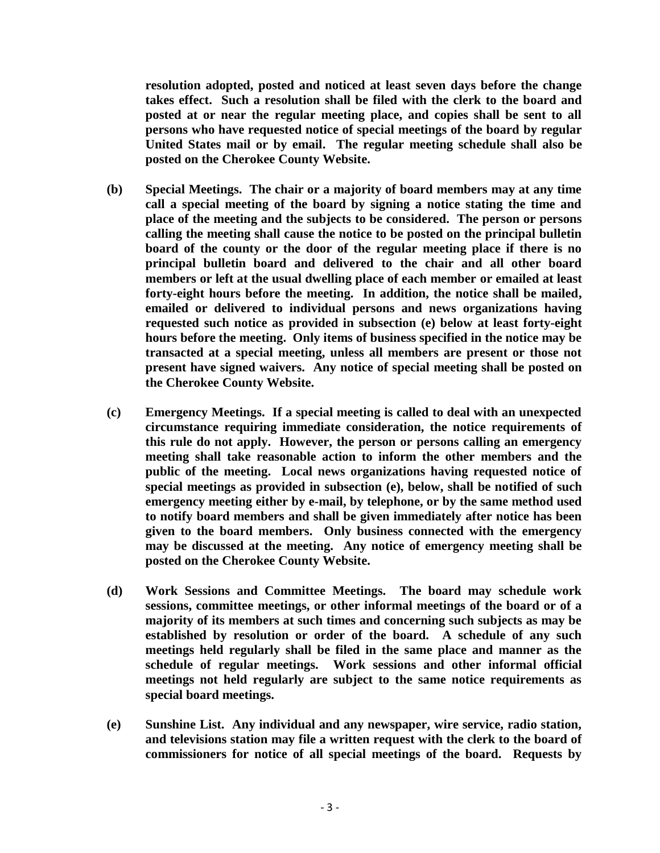**resolution adopted, posted and noticed at least seven days before the change takes effect. Such a resolution shall be filed with the clerk to the board and posted at or near the regular meeting place, and copies shall be sent to all persons who have requested notice of special meetings of the board by regular United States mail or by email. The regular meeting schedule shall also be posted on the Cherokee County Website.** 

- **(b) Special Meetings. The chair or a majority of board members may at any time call a special meeting of the board by signing a notice stating the time and place of the meeting and the subjects to be considered. The person or persons calling the meeting shall cause the notice to be posted on the principal bulletin board of the county or the door of the regular meeting place if there is no principal bulletin board and delivered to the chair and all other board members or left at the usual dwelling place of each member or emailed at least forty-eight hours before the meeting. In addition, the notice shall be mailed, emailed or delivered to individual persons and news organizations having requested such notice as provided in subsection (e) below at least forty-eight hours before the meeting. Only items of business specified in the notice may be transacted at a special meeting, unless all members are present or those not present have signed waivers. Any notice of special meeting shall be posted on the Cherokee County Website.**
- **(c) Emergency Meetings. If a special meeting is called to deal with an unexpected circumstance requiring immediate consideration, the notice requirements of this rule do not apply. However, the person or persons calling an emergency meeting shall take reasonable action to inform the other members and the public of the meeting. Local news organizations having requested notice of special meetings as provided in subsection (e), below, shall be notified of such emergency meeting either by e-mail, by telephone, or by the same method used to notify board members and shall be given immediately after notice has been given to the board members. Only business connected with the emergency may be discussed at the meeting. Any notice of emergency meeting shall be posted on the Cherokee County Website.**
- **(d) Work Sessions and Committee Meetings. The board may schedule work sessions, committee meetings, or other informal meetings of the board or of a majority of its members at such times and concerning such subjects as may be established by resolution or order of the board. A schedule of any such meetings held regularly shall be filed in the same place and manner as the schedule of regular meetings. Work sessions and other informal official meetings not held regularly are subject to the same notice requirements as special board meetings.**
- **(e) Sunshine List. Any individual and any newspaper, wire service, radio station, and televisions station may file a written request with the clerk to the board of commissioners for notice of all special meetings of the board. Requests by**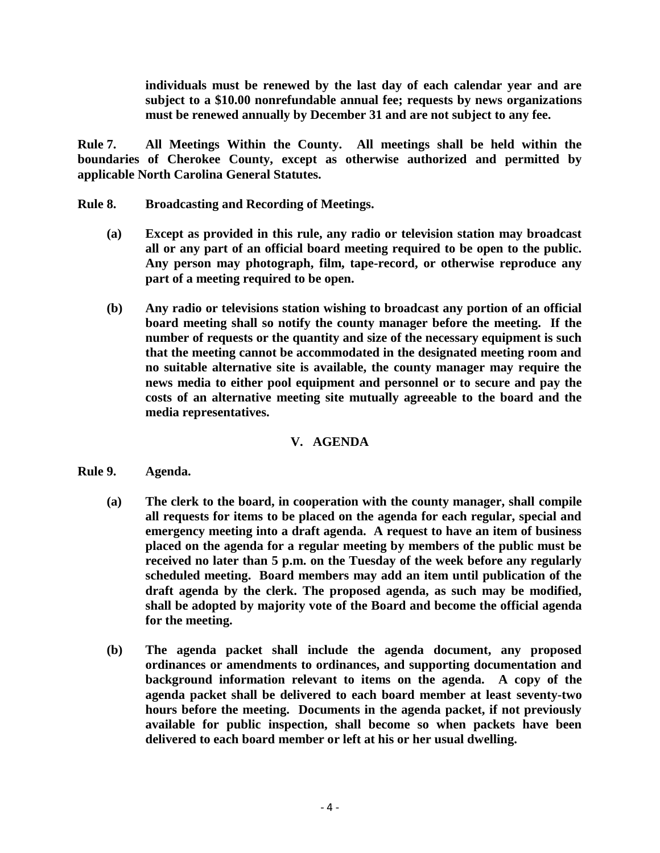**individuals must be renewed by the last day of each calendar year and are subject to a \$10.00 nonrefundable annual fee; requests by news organizations must be renewed annually by December 31 and are not subject to any fee.** 

**Rule 7. All Meetings Within the County. All meetings shall be held within the boundaries of Cherokee County, except as otherwise authorized and permitted by applicable North Carolina General Statutes.** 

- **Rule 8. Broadcasting and Recording of Meetings.** 
	- **(a) Except as provided in this rule, any radio or television station may broadcast all or any part of an official board meeting required to be open to the public. Any person may photograph, film, tape-record, or otherwise reproduce any part of a meeting required to be open.**
	- **(b) Any radio or televisions station wishing to broadcast any portion of an official board meeting shall so notify the county manager before the meeting. If the number of requests or the quantity and size of the necessary equipment is such that the meeting cannot be accommodated in the designated meeting room and no suitable alternative site is available, the county manager may require the news media to either pool equipment and personnel or to secure and pay the costs of an alternative meeting site mutually agreeable to the board and the media representatives.**

# **V. AGENDA**

- **Rule 9. Agenda.** 
	- **(a) The clerk to the board, in cooperation with the county manager, shall compile all requests for items to be placed on the agenda for each regular, special and emergency meeting into a draft agenda. A request to have an item of business placed on the agenda for a regular meeting by members of the public must be received no later than 5 p.m. on the Tuesday of the week before any regularly scheduled meeting. Board members may add an item until publication of the draft agenda by the clerk. The proposed agenda, as such may be modified, shall be adopted by majority vote of the Board and become the official agenda for the meeting.**
	- **(b) The agenda packet shall include the agenda document, any proposed ordinances or amendments to ordinances, and supporting documentation and background information relevant to items on the agenda. A copy of the agenda packet shall be delivered to each board member at least seventy-two hours before the meeting. Documents in the agenda packet, if not previously available for public inspection, shall become so when packets have been delivered to each board member or left at his or her usual dwelling.**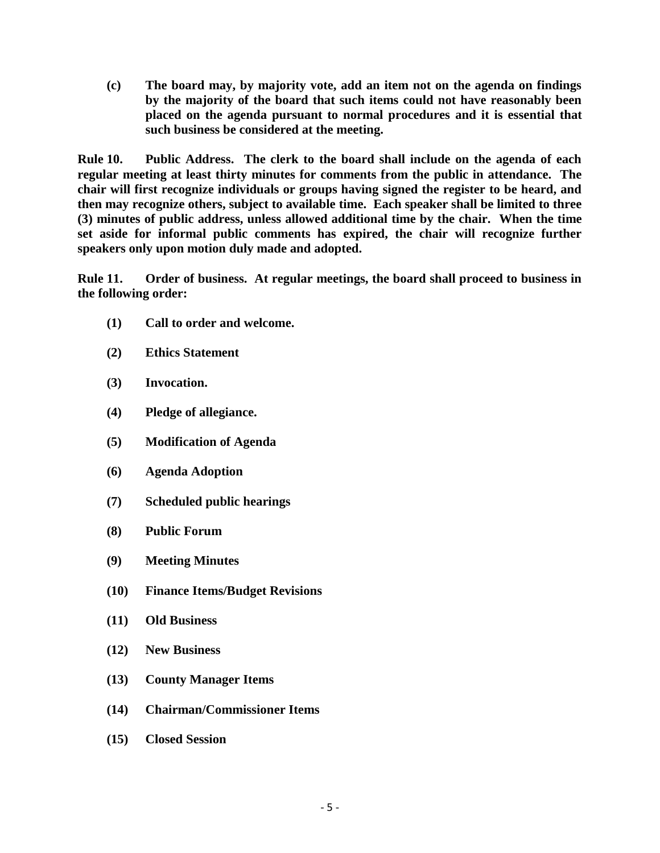**(c) The board may, by majority vote, add an item not on the agenda on findings by the majority of the board that such items could not have reasonably been placed on the agenda pursuant to normal procedures and it is essential that such business be considered at the meeting.**

**Rule 10. Public Address. The clerk to the board shall include on the agenda of each regular meeting at least thirty minutes for comments from the public in attendance. The chair will first recognize individuals or groups having signed the register to be heard, and then may recognize others, subject to available time. Each speaker shall be limited to three (3) minutes of public address, unless allowed additional time by the chair. When the time set aside for informal public comments has expired, the chair will recognize further speakers only upon motion duly made and adopted.**

**Rule 11. Order of business. At regular meetings, the board shall proceed to business in the following order:**

- **(1) Call to order and welcome.**
- **(2) Ethics Statement**
- **(3) Invocation.**
- **(4) Pledge of allegiance.**
- **(5) Modification of Agenda**
- **(6) Agenda Adoption**
- **(7) Scheduled public hearings**
- **(8) Public Forum**
- **(9) Meeting Minutes**
- **(10) Finance Items/Budget Revisions**
- **(11) Old Business**
- **(12) New Business**
- **(13) County Manager Items**
- **(14) Chairman/Commissioner Items**
- **(15) Closed Session**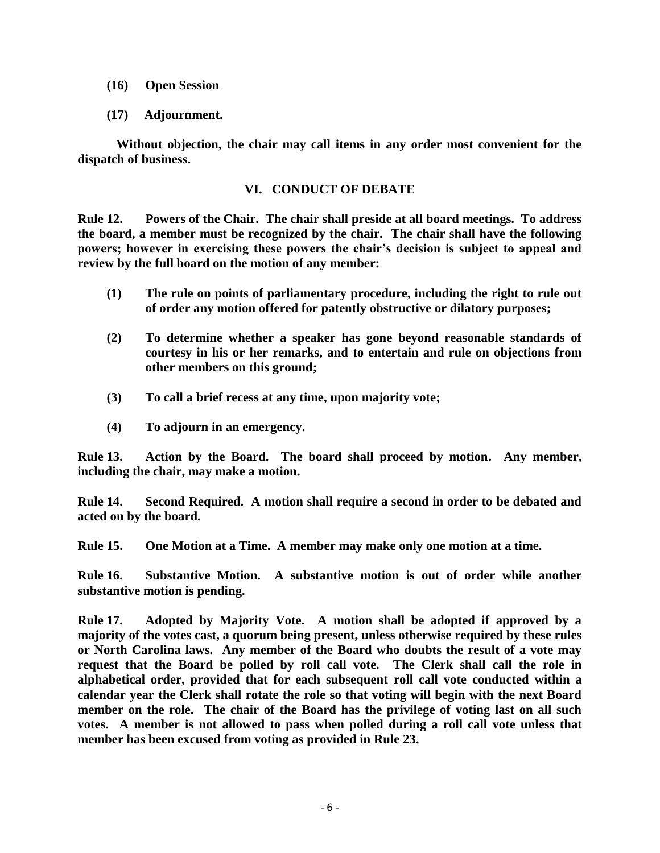- **(16) Open Session**
- **(17) Adjournment.**

**Without objection, the chair may call items in any order most convenient for the dispatch of business.** 

## **VI. CONDUCT OF DEBATE**

**Rule 12. Powers of the Chair. The chair shall preside at all board meetings. To address the board, a member must be recognized by the chair. The chair shall have the following powers; however in exercising these powers the chair's decision is subject to appeal and review by the full board on the motion of any member:**

- **(1) The rule on points of parliamentary procedure, including the right to rule out of order any motion offered for patently obstructive or dilatory purposes;**
- **(2) To determine whether a speaker has gone beyond reasonable standards of courtesy in his or her remarks, and to entertain and rule on objections from other members on this ground;**
- **(3) To call a brief recess at any time, upon majority vote;**
- **(4) To adjourn in an emergency.**

**Rule 13. Action by the Board. The board shall proceed by motion. Any member, including the chair, may make a motion.**

**Rule 14. Second Required. A motion shall require a second in order to be debated and acted on by the board.**

**Rule 15. One Motion at a Time. A member may make only one motion at a time.**

**Rule 16. Substantive Motion. A substantive motion is out of order while another substantive motion is pending.**

**Rule 17. Adopted by Majority Vote. A motion shall be adopted if approved by a majority of the votes cast, a quorum being present, unless otherwise required by these rules or North Carolina laws. Any member of the Board who doubts the result of a vote may request that the Board be polled by roll call vote. The Clerk shall call the role in alphabetical order, provided that for each subsequent roll call vote conducted within a calendar year the Clerk shall rotate the role so that voting will begin with the next Board member on the role. The chair of the Board has the privilege of voting last on all such votes. A member is not allowed to pass when polled during a roll call vote unless that member has been excused from voting as provided in Rule 23.**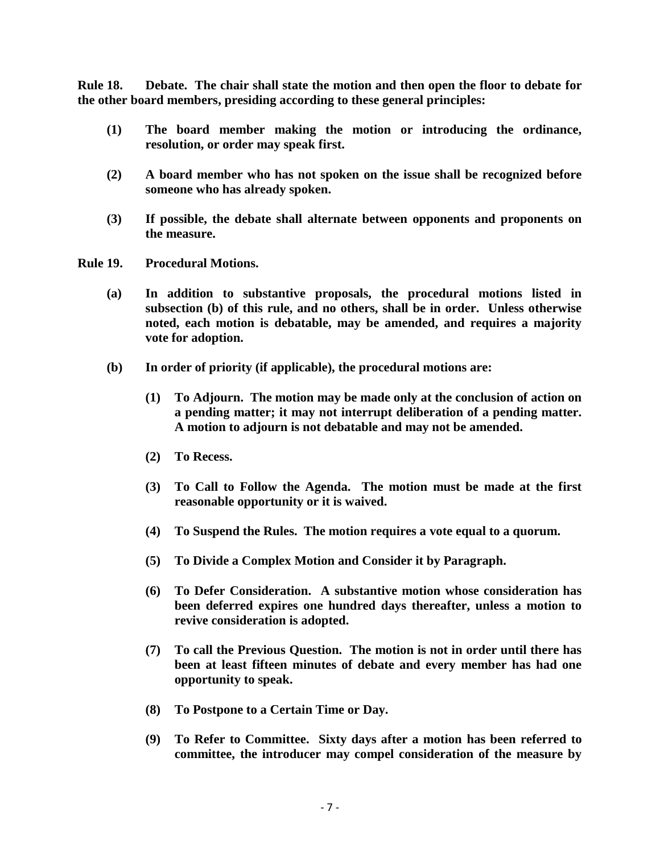**Rule 18. Debate. The chair shall state the motion and then open the floor to debate for the other board members, presiding according to these general principles:**

- **(1) The board member making the motion or introducing the ordinance, resolution, or order may speak first.**
- **(2) A board member who has not spoken on the issue shall be recognized before someone who has already spoken.**
- **(3) If possible, the debate shall alternate between opponents and proponents on the measure.**
- **Rule 19. Procedural Motions.** 
	- **(a) In addition to substantive proposals, the procedural motions listed in subsection (b) of this rule, and no others, shall be in order. Unless otherwise noted, each motion is debatable, may be amended, and requires a majority vote for adoption.**
	- **(b) In order of priority (if applicable), the procedural motions are:**
		- **(1) To Adjourn. The motion may be made only at the conclusion of action on a pending matter; it may not interrupt deliberation of a pending matter. A motion to adjourn is not debatable and may not be amended.**
		- **(2) To Recess.**
		- **(3) To Call to Follow the Agenda. The motion must be made at the first reasonable opportunity or it is waived.**
		- **(4) To Suspend the Rules. The motion requires a vote equal to a quorum.**
		- **(5) To Divide a Complex Motion and Consider it by Paragraph.**
		- **(6) To Defer Consideration. A substantive motion whose consideration has been deferred expires one hundred days thereafter, unless a motion to revive consideration is adopted.**
		- **(7) To call the Previous Question. The motion is not in order until there has been at least fifteen minutes of debate and every member has had one opportunity to speak.**
		- **(8) To Postpone to a Certain Time or Day.**
		- **(9) To Refer to Committee. Sixty days after a motion has been referred to committee, the introducer may compel consideration of the measure by**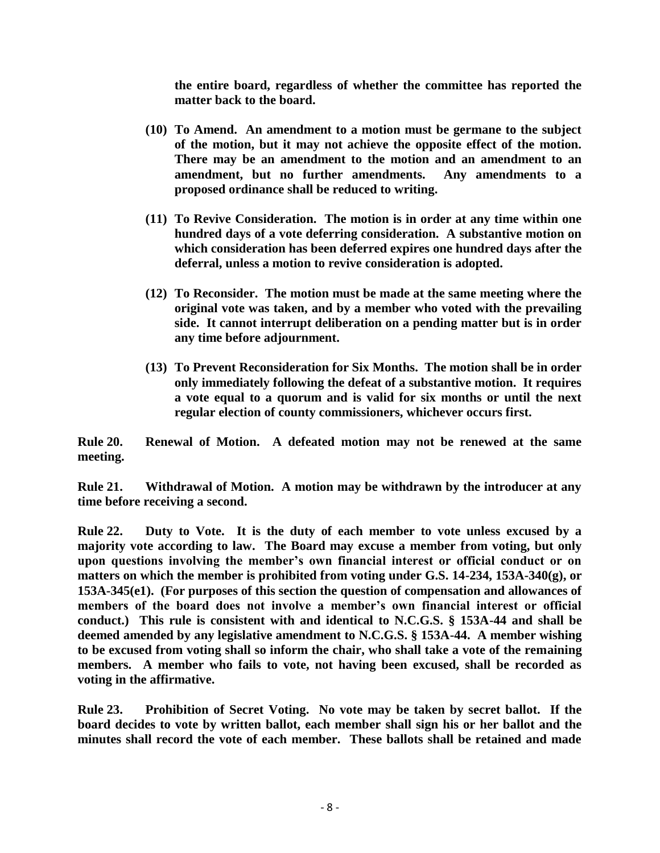**the entire board, regardless of whether the committee has reported the matter back to the board.**

- **(10) To Amend. An amendment to a motion must be germane to the subject of the motion, but it may not achieve the opposite effect of the motion. There may be an amendment to the motion and an amendment to an amendment, but no further amendments. Any amendments to a proposed ordinance shall be reduced to writing.**
- **(11) To Revive Consideration. The motion is in order at any time within one hundred days of a vote deferring consideration. A substantive motion on which consideration has been deferred expires one hundred days after the deferral, unless a motion to revive consideration is adopted.**
- **(12) To Reconsider. The motion must be made at the same meeting where the original vote was taken, and by a member who voted with the prevailing side. It cannot interrupt deliberation on a pending matter but is in order any time before adjournment.**
- **(13) To Prevent Reconsideration for Six Months. The motion shall be in order only immediately following the defeat of a substantive motion. It requires a vote equal to a quorum and is valid for six months or until the next regular election of county commissioners, whichever occurs first.**

**Rule 20. Renewal of Motion. A defeated motion may not be renewed at the same meeting.**

**Rule 21. Withdrawal of Motion. A motion may be withdrawn by the introducer at any time before receiving a second.**

**Rule 22. Duty to Vote. It is the duty of each member to vote unless excused by a majority vote according to law. The Board may excuse a member from voting, but only upon questions involving the member's own financial interest or official conduct or on matters on which the member is prohibited from voting under G.S. 14-234, 153A-340(g), or 153A-345(e1). (For purposes of this section the question of compensation and allowances of members of the board does not involve a member's own financial interest or official conduct.) This rule is consistent with and identical to N.C.G.S. § 153A-44 and shall be deemed amended by any legislative amendment to N.C.G.S. § 153A-44. A member wishing to be excused from voting shall so inform the chair, who shall take a vote of the remaining members. A member who fails to vote, not having been excused, shall be recorded as voting in the affirmative.**

**Rule 23. Prohibition of Secret Voting. No vote may be taken by secret ballot. If the board decides to vote by written ballot, each member shall sign his or her ballot and the minutes shall record the vote of each member. These ballots shall be retained and made**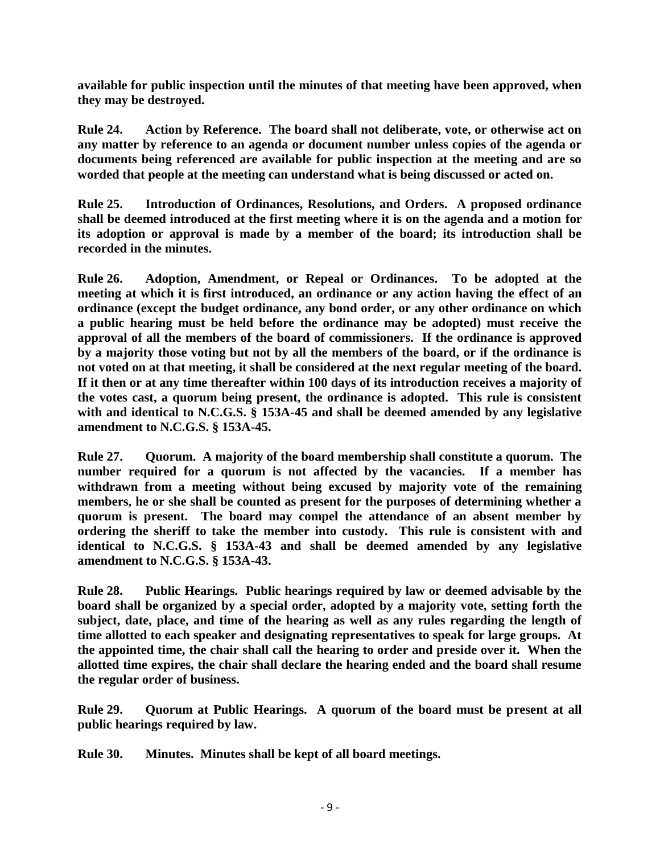**available for public inspection until the minutes of that meeting have been approved, when they may be destroyed.** 

**Rule 24. Action by Reference. The board shall not deliberate, vote, or otherwise act on any matter by reference to an agenda or document number unless copies of the agenda or documents being referenced are available for public inspection at the meeting and are so worded that people at the meeting can understand what is being discussed or acted on.**

**Rule 25. Introduction of Ordinances, Resolutions, and Orders. A proposed ordinance shall be deemed introduced at the first meeting where it is on the agenda and a motion for its adoption or approval is made by a member of the board; its introduction shall be recorded in the minutes.**

**Rule 26. Adoption, Amendment, or Repeal or Ordinances. To be adopted at the meeting at which it is first introduced, an ordinance or any action having the effect of an ordinance (except the budget ordinance, any bond order, or any other ordinance on which a public hearing must be held before the ordinance may be adopted) must receive the approval of all the members of the board of commissioners. If the ordinance is approved by a majority those voting but not by all the members of the board, or if the ordinance is not voted on at that meeting, it shall be considered at the next regular meeting of the board. If it then or at any time thereafter within 100 days of its introduction receives a majority of the votes cast, a quorum being present, the ordinance is adopted. This rule is consistent with and identical to N.C.G.S. § 153A-45 and shall be deemed amended by any legislative amendment to N.C.G.S. § 153A-45.**

**Rule 27. Quorum. A majority of the board membership shall constitute a quorum. The number required for a quorum is not affected by the vacancies. If a member has withdrawn from a meeting without being excused by majority vote of the remaining members, he or she shall be counted as present for the purposes of determining whether a quorum is present. The board may compel the attendance of an absent member by ordering the sheriff to take the member into custody. This rule is consistent with and identical to N.C.G.S. § 153A-43 and shall be deemed amended by any legislative amendment to N.C.G.S. § 153A-43.**

**Rule 28. Public Hearings. Public hearings required by law or deemed advisable by the board shall be organized by a special order, adopted by a majority vote, setting forth the subject, date, place, and time of the hearing as well as any rules regarding the length of time allotted to each speaker and designating representatives to speak for large groups. At the appointed time, the chair shall call the hearing to order and preside over it. When the allotted time expires, the chair shall declare the hearing ended and the board shall resume the regular order of business.**

**Rule 29. Quorum at Public Hearings. A quorum of the board must be present at all public hearings required by law.**

**Rule 30. Minutes. Minutes shall be kept of all board meetings.**